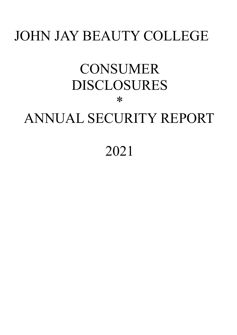## JOHN JAY BEAUTY COLLEGE

# **CONSUMER** DISCLOSURES \*

## ANNUAL SECURITY REPORT

## 2021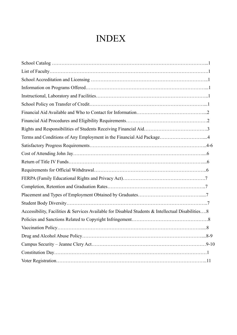## INDEX

| Terms and Conditions of Any Employment in the Financial Aid Package4                              |  |
|---------------------------------------------------------------------------------------------------|--|
|                                                                                                   |  |
|                                                                                                   |  |
|                                                                                                   |  |
|                                                                                                   |  |
|                                                                                                   |  |
|                                                                                                   |  |
|                                                                                                   |  |
|                                                                                                   |  |
| Accessibility, Facilities & Services Available for Disabled Students & Intellectual Disabilities8 |  |
|                                                                                                   |  |
|                                                                                                   |  |
|                                                                                                   |  |
|                                                                                                   |  |
|                                                                                                   |  |
|                                                                                                   |  |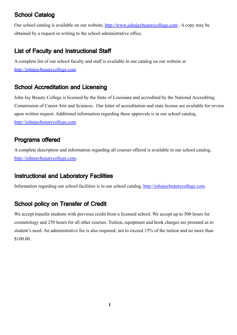## School Catalog

Our school catalog is available on our website, <http://www.johnjaybeautycollege.com> . A copy may be obtained by a request in writing to the school administrative office.

## List of Faculty and Instructional Staff

A complete list of our school faculty and staff is available in our catalog on our website at [http://johnjaybeautycollege.com.](http://johnjaybeautycollege.com)

## School Accreditation and Licensing

John Jay Beauty College is licensed by the State of Louisiana and accredited by the National Accrediting Commission of Career Arts and Sciences. Our letter of accreditation and state license are available for review upon written request. Additional information regarding these approvals is in our school catalog, [http://johnjaybeautycollege.com.](http://johnjaybeautycollege.com)

## Programs offered

A complete description and information regarding all courses offered is available in our school catalog, [http://johnjaybeautycollege.com.](http://johnjaybeautycollege.com)

## Instructional and Laboratory Facilities

Information regarding our school facilities is in our school catalog, <http://johnjaybeautycollege.com>.

## School policy on Transfer of Credit

We accept transfer students with previous credit from a licensed school. We accept up to 500 hours for cosmetology and 250 hours for all other courses. Tuition, equipment and book charges are prorated as to student's need. An administrative fee is also required; not to exceed 15% of the tuition and no more than \$100.00.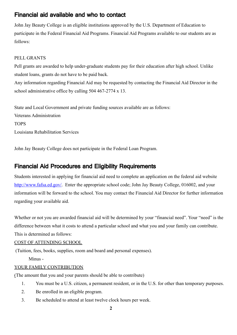## Financial aid available and who to contact

John Jay Beauty College is an eligible institutions approved by the U.S. Department of Education to participate in the Federal Financial Aid Programs. Financial Aid Programs available to our students are as follows:

#### PELL GRANTS

Pell grants are awarded to help under-graduate students pay for their education after high school. Unlike student loans, grants do not have to be paid back.

Any information regarding Financial Aid may be requested by contacting the Financial Aid Director in the school administrative office by calling 504 467-2774 x 13.

State and Local Government and private funding sources available are as follows: Veterans Administration TOPS Louisiana Rehabilitation Services

John Jay Beauty College does not participate in the Federal Loan Program.

## Financial Aid Procedures and Eligibility Requirements

Students interested in applying for financial aid need to complete an application on the federal aid website [http://www.fafsa.ed.gov/.](http://www.fafsa.ed.gov/) Enter the appropriate school code; John Jay Beauty College, 016002, and your information will be forward to the school. You may contact the Financial Aid Director for further information regarding your available aid.

Whether or not you are awarded financial aid will be determined by your "financial need". Your "need" is the difference between what it costs to attend a particular school and what you and your family can contribute. This is determined as follows:

#### COST OF ATTENDING SCHOOL

(Tuition, fees, books, supplies, room and board and personal expenses).

Minus -

#### YOUR FAMILY CONTRIBUTION

(The amount that you and your parents should be able to contribute)

- 1. You must be a U.S. citizen, a permanent resident, or in the U.S. for other than temporary purposes.
- 2. Be enrolled in an eligible program.
- 3. Be scheduled to attend at least twelve clock hours per week.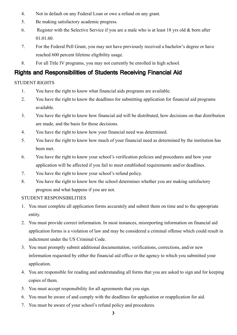- 4. Not in default on any Federal Loan or owe a refund on any grant.
- 5. Be making satisfactory academic progress.
- 6. Register with the Selective Service if you are a male who is at least 18 yrs old & born after 01.01.60.
- 7. For the Federal Pell Grant, you may not have previously received a bachelor's degree or have reached 600 percent lifetime eligibility usage.
- 8. For all Title IV programs, you may not currently be enrolled in high school.

## Rights and Responsibilities of Students Receiving Financial Aid

#### STUDENT RIGHTS

- 1. You have the right to know what financial aids programs are available.
- 2. You have the right to know the deadlines for submitting application for financial aid programs available.
- 3. You have the right to know how financial aid will be distributed, how decisions on that distribution are made, and the basis for those decisions.
- 4. You have the right to know how your financial need was determined.
- 5. You have the right to know how much of your financial need as determined by the institution has been met.
- 6. You have the right to know your school's verification policies and procedures and how your application will be affected if you fail to meet established requirements and/or deadlines.
- 7. You have the right to know your school's refund policy.
- 8. You have the right to know how the school determines whether you are making satisfactory progress and what happens if you are not.

#### STUDENT RESPONSIBILITIES

- 1. You must complete all application forms accurately and submit them on time and to the appropriate entity.
- 2. You must provide correct information. In most instances, misreporting information on financial aid application forms is a violation of law and may be considered a criminal offense which could result in indictment under the US Criminal Code.
- 3. You must promptly submit additional documentation, verifications, corrections, and/or new information requested by either the financial aid office or the agency to which you submitted your application.
- 4. You are responsible for reading and understanding all forms that you are asked to sign and for keeping copies of them.
- 5. You must accept responsibility for all agreements that you sign.
- 6. You must be aware of and comply with the deadlines for application or reapplication for aid.
- 7. You must be aware of your school's refund policy and procedures.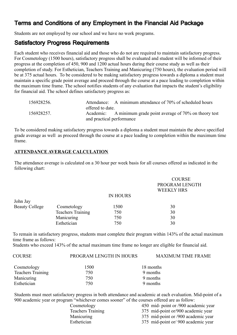## Terms and Conditions of any Employment in the Financial Aid Package

Students are not employed by our school and we have no work programs.

## Satisfactory Progress Requirements

Each student who receives financial aid and those who do not are required to maintain satisfactory progress. For Cosmetology (1500 hours), satisfactory progress shall be evaluated and student will be informed of their progress at the completion of 450, 900 and 1200 actual hours during their course study as well as their completion of study. For Esthetician, Teachers Training and Manicuring (750 hours), the evaluation period will be at 375 actual hours. To be considered to be making satisfactory progress towards a diploma a student must maintain a specific grade point average and proceed through the course at a pace leading to completion within the maximum time frame. The school notifies students of any evaluation that impacts the student's eligibility for financial aid. The school defines satisfactory progress as:

| 156928256. |                           | Attendance: A minimum attendance of 70% of scheduled hours    |
|------------|---------------------------|---------------------------------------------------------------|
|            | offered to date.          |                                                               |
| 156928257. |                           | Academic: A minimum grade point average of 70% on theory test |
|            | and practical performance |                                                               |

To be considered making satisfactory progress towards a diploma a student must maintain the above specified grade average as well as proceed through the course at a pace leading to completion within the maximum time frame.

#### **ATTENDANCE AVERAGE CALCULATION**

The attendance average is calculated on a 30 hour per week basis for all courses offered as indicated in the following chart:

|                       |                          |                 | <b>COURSE</b><br>PROGRAM LENGTH<br><b>WEEKLY HRS</b> |
|-----------------------|--------------------------|-----------------|------------------------------------------------------|
|                       |                          | <b>IN HOURS</b> |                                                      |
| John Jay              |                          |                 |                                                      |
| <b>Beauty College</b> | Cosmetology              | 1500            | 30                                                   |
|                       | <b>Teachers Training</b> | 750             | 30                                                   |
|                       | Manicuring               | 750             | 30                                                   |
|                       | Esthetician              | 750             | 30                                                   |

To remain in satisfactory progress, students must complete their program within 143% of the actual maximum time frame as follows:

Students who exceed 143% of the actual maximum time frame no longer are eligible for financial aid.

| <b>COURSE</b>            | PROGRAM LENGTH IN HOURS | <b>MAXIMUM TIME FRAME</b> |
|--------------------------|-------------------------|---------------------------|
| Cosmetology              | 1500                    | 18 months                 |
| <b>Teachers Training</b> | 750                     | 9 months                  |
| Manicuring               | 750                     | 9 months                  |
| Esthetician              | 750                     | 9 months                  |

Students must meet satisfactory progress in both attendance and academic at each evaluation. Mid-point of a 900 academic year or program "whichever comes sooner" of the courses offered are as follow:

| Cosmetology              | 450 mid- point or /900 academic year |
|--------------------------|--------------------------------------|
| <b>Teachers Training</b> | 375 mid-point or/900 academic year   |
| Manicuring               | 375 mid-point or /900 academic year  |
| Esthetician              | 375 mid-point or/900 academic year   |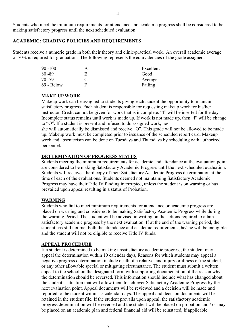Students who meet the minimum requirements for attendance and academic progress shall be considered to be making satisfactory progress until the next scheduled evaluation.

#### **ACADEMIC: GRADING POLICIES AND REQUIREMENTS**

Students receive a numeric grade in both their theory and clinic/practical work. An overall academic average of 70% is required for graduation. The following represents the equivalencies of the grade assigned:

| 90 -100    | A             | Excellent |
|------------|---------------|-----------|
| 80 - 89    | R             | Good      |
| 70 -79     | $\mathcal{C}$ | Average   |
| 69 - Below | E             | Failing   |

#### **MAKE UP WORK**

Makeup work can be assigned to students giving each student the opportunity to maintain satisfactory progress. Each student is responsible for requesting makeup work for his/her instructor. Credit cannot be given for work that is incomplete. "I" will be inserted for the day. Incomplete status remains until work is made up. If work is not made up, then "I" will be change to "O". If a student is present and refused to do assigned work, he/

she will automatically be dismissed and receive "O". This grade will not be allowed to be made up. Makeup work must be completed prior to issuance of the scheduled report card. Makeup work and absenteeism can be done on Tuesdays and Thursdays by scheduling with authorized personnel.

#### **DETERMINATION OF PROGRESS STATUS**

Students meeting the minimum requirements for academic and attendance at the evaluation point are considered to be making Satisfactory Academic Progress until the next scheduled evaluation. Students will receive a hard copy of their Satisfactory Academic Progress determination at the time of each of the evaluations. Students deemed not maintaining Satisfactory Academic Progress may have their Title IV funding interrupted, unless the student is on warning or has prevailed upon appeal resulting in a status of Probation.

#### **WARNING**

Students who fail to meet minimum requirements for attendance or academic progress are placed on warning and considered to be making Satisfactory Academic Progress while during the warning Period. The student will be advised in writing on the actions required to attain satisfactory academic progress by the next evaluation. If at the end of the warning period, the student has still not met both the attendance and academic requirements, he/she will be ineligible and the student will not be eligible to receive Title IV funds.

#### **APPEAL PROCEDURE**

If a student is determined to be making unsatisfactory academic progress, the student may appeal the determination within 10 calendar days, Reasons for which students may appeal a negative progress determination include death of a relative, and injury or illness of the student, or any other allowable special or mitigating circumstance. The student must submit a written appeal to the school on the designated form with supporting documentation of the reason why the determination should be reversed. This information should include what has changed about the student's situation that will allow them to achiever Satisfactory Academic Progress by the next evaluation point. Appeal documents will be reviewed and a decision will be made and reported to the student within 15 calendar days. The appeal and decision documents will be retained in the student file. If the student prevails upon appeal, the satisfactory academic progress determination will be reversed and the student will be placed on probation and / or may be placed on an academic plan and federal financial aid will be reinstated, if applicable.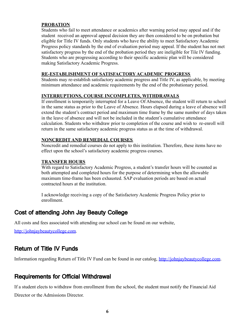#### **PROBATION**

Students who fail to meet attendance or academics after warning period may appeal and if the student received an approval appeal decision they are then considered to be on probation but eligible for Title IV funds. Only students who have the ability to meet Satisfactory Academic Progress policy standards by the end of evaluation period may appeal. If the student has not met satisfactory progress by the end of the probation period they are ineligible for Tile IV funding. Students who are progressing according to their specific academic plan will be considered making Satisfactory Academic Progress.

#### **RE-ESTABLISHMENT OF SATISFACTORY ACADEMIC PROGRESS**

Students may re-establish satisfactory academic progress and Title IV, as applicable, by meeting minimum attendance and academic requirements by the end of the probationary period.

#### **INTERRUPTIONS, COURSE INCOMPLETES, WITHDRAWALS**

If enrollment is temporarily interrupted for a Leave Of Absence, the student will return to school in the same status as prior to the Leave of Absence. Hours elapsed during a leave of absence will extend the student's contract period and maximum time frame by the same number of days taken in the leave of absence and will not be included in the student's cumulative attendance calculation. Students who withdraw prior to completion of the course and wish to re-enroll will return in the same satisfactory academic progress status as at the time of withdrawal.

#### **NONCREDIT AND REMEDIAL COURSES**

Noncredit and remedial courses do not apply to this institution. Therefore, these items have no effect upon the school's satisfactory academic progress courses.

#### **TRANSFER HOURS**

With regard to Satisfactory Academic Progress, a student's transfer hours will be counted as both attempted and completed hours for the purpose of determining when the allowable maximum time-frame has been exhausted. SAP evaluation periods are based on actual contracted hours at the institution.

I acknowledge receiving a copy of the Satisfactory Academic Progress Policy prior to enrollment.

### Cost of attending John Jay Beauty College

All costs and fees associated with attending our school can be found on our website,

[http://johnjaybeautycollege.com.](http://johnjaybeautycollege.com)

## Return of Title IV Funds

Information regarding Return of Title IV Fund can be found in our catalog, <http://johnjaybeautycollege.com>.

### Requirements for Official Withdrawal

If a student elects to withdraw from enrollment from the school, the student must notify the Financial Aid Director or the Admissions Director.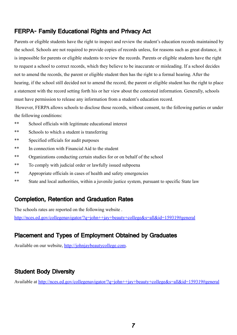## FERPA- Family Educational Rights and Privacy Act

Parents or eligible students have the right to inspect and review the student's education records maintained by the school. Schools are not required to provide copies of records unless, for reasons such as great distance, it is impossible for parents or eligible students to review the records. Parents or eligible students have the right to request a school to correct records, which they believe to be inaccurate or misleading. If a school decides not to amend the records, the parent or eligible student then has the right to a formal hearing. After the hearing, if the school still decided not to amend the record, the parent or eligible student has the right to place a statement with the record setting forth his or her view about the contested information. Generally, schools must have permission to release any information from a student's education record.

However, FERPA allows schools to disclose those records, without consent, to the following parties or under the following conditions:

- \*\* School officials with legitimate educational interest
- \*\* Schools to which a student is transferring
- \*\* Specified officials for audit purposes
- \*\* In connection with Financial Aid to the student
- \*\* Organizations conducting certain studies for or on behalf of the school
- \*\* To comply with judicial order or lawfully issued subpoena
- \*\* Appropriate officials in cases of health and safety emergencies
- \*\* State and local authorities, within a juvenile justice system, pursuant to specific State law

## Completion, Retention and Graduation Rates

The schools rates are reported on the following website .

<http://nces.ed.gov/collegenavigator/?q=john++jay+beauty+college&s=all&id=159319#general>

## Placement and Types of Employment Obtained by Graduates

Available on our website, <http://johnjaybeautycollege.com>.

## Student Body Diversity

Available at <http://nces.ed.gov/collegenavigator/?q=john++jay+beauty+college&s=all&id=159319#general>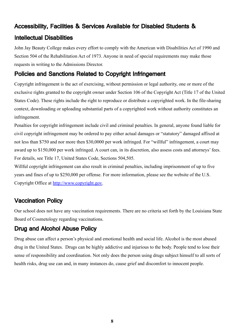## Accessibility, Facilities & Services Available for Disabled Students &

## Intellectual Disabilities

John Jay Beauty College makes every effort to comply with the American with Disabilities Act of 1990 and Section 504 of the Rehabilitation Act of 1973. Anyone in need of special requirements may make those requests in writing to the Admissions Director.

## Policies and Sanctions Related to Copyright Infringement

Copyright infringement is the act of exercising, without permission or legal authority, one or more of the exclusive rights granted to the copyright owner under Section 106 of the Copyright Act (Title 17 of the United States Code). These rights include the right to reproduce or distribute a copyrighted work. In the file-sharing context, downloading or uploading substantial parts of a copyrighted work without authority constitutes an infringement.

Penalties for copyright infringement include civil and criminal penalties. In general, anyone found liable for civil copyright infringement may be ordered to pay either actual damages or "statutory" damaged affixed at not less than \$750 and nor more then \$30,0000 per work infringed. For "willful" infringement, a court may award up to \$150,000 per work infringed. A court can, in its discretion, also assess costs and attorneys' fees. For details, see Title 17, United States Code, Sections 504,505.

Willful copyright infringement can also result in criminal penalties, including imprisonment of up to five years and fines of up to \$250,000 per offense. For more information, please see the website of the U.S. Copyright Office at [http://www.copyright.gov.](http://www.copyright.gov)

## Vaccination Policy

Our school does not have any vaccination requirements. There are no criteria set forth by the Louisiana State Board of Cosmetology regarding vaccinations.

## Drug and Alcohol Abuse Policy

Drug abuse can affect a person's physical and emotional health and social life. Alcohol is the most abused drug in the United States. Drugs can be highly addictive and injurious to the body. People tend to lose their sense of responsibility and coordination. Not only does the person using drugs subject himself to all sorts of health risks, drug use can and, in many instances do, cause grief and discomfort to innocent people.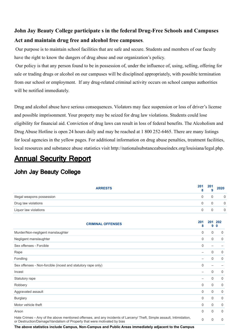## **John Jay Beauty College participate s in the federal Drug-Free Schools and Campuses Act and maintain drug free and alcohol free campuses**.

Our purpose is to maintain school facilities that are safe and secure. Students and members of our faculty have the right to know the dangers of drug abuse and our organization's policy.

Our policy is that any person found to be in possession of, under the influence of, using, selling, offering for sale or trading drugs or alcohol on our campuses will be disciplined appropriately, with possible termination from our school or employment. If any drug-related criminal activity occurs on school campus authorities will be notified immediately.

Drug and alcohol abuse have serious consequences. Violators may face suspension or loss of driver's license and possible imprisonment. Your property may be seized for drug law violations. Students could lose eligibility for financial aid. Conviction of drug laws can result in loss of federal benefits. The Alcoholism and Drug Abuse Hotline is open 24 hours daily and may be reached at 1 800 252-6465. There are many listings for local agencies in the yellow pages. For additional information on drug abuse penalties, treatment facilities, local resources and substance abuse statistics visit http://nationalsubstanceabuseindex.org/louisiana/legal.php.

## Annual Security Report

## John Jay Beauty College

| <b>ARRESTS</b>                                                                                                                                                                                                                                                                                                        | 201<br>8                 | 201<br>9                 | 2020               |
|-----------------------------------------------------------------------------------------------------------------------------------------------------------------------------------------------------------------------------------------------------------------------------------------------------------------------|--------------------------|--------------------------|--------------------|
| Illegal weapons possession                                                                                                                                                                                                                                                                                            | 0                        | 0                        | $\mathbf 0$        |
| Drug law violations                                                                                                                                                                                                                                                                                                   | 0                        | 0                        | $\mathbf 0$        |
| Liquor law violations                                                                                                                                                                                                                                                                                                 | 0                        | 0                        | $\mathbf 0$        |
| <b>CRIMINAL OFFENSES</b>                                                                                                                                                                                                                                                                                              | 201<br>8                 | 201<br>9                 | 202<br>$\mathbf 0$ |
| Murder/Non-negligent manslaughter                                                                                                                                                                                                                                                                                     | $\Omega$                 | 0                        | 0                  |
| Negligent manslaughter                                                                                                                                                                                                                                                                                                | 0                        | $\mathbf 0$              | 0                  |
| Sex offenses - Forcible                                                                                                                                                                                                                                                                                               | $\mathbf 0$              | $\overline{\phantom{0}}$ |                    |
| Rape                                                                                                                                                                                                                                                                                                                  | $\overline{\phantom{0}}$ | 0                        | 0                  |
| Fondling                                                                                                                                                                                                                                                                                                              | $\overline{\phantom{0}}$ | 0                        | 0                  |
| Sex offenses - Non-forcible (incest and statutory rape only)                                                                                                                                                                                                                                                          | $\Omega$                 | $\overline{\phantom{0}}$ |                    |
| Incest                                                                                                                                                                                                                                                                                                                | $\overline{\phantom{0}}$ | 0                        | 0                  |
| Statutory rape                                                                                                                                                                                                                                                                                                        | $\overline{\phantom{0}}$ | 0                        | 0                  |
| Robbery                                                                                                                                                                                                                                                                                                               | 0                        | $\mathbf 0$              | 0                  |
| Aggravated assault                                                                                                                                                                                                                                                                                                    | 0                        | $\mathbf 0$              | 0                  |
| <b>Burglary</b>                                                                                                                                                                                                                                                                                                       | 0                        | 0                        | 0                  |
| Motor vehicle theft                                                                                                                                                                                                                                                                                                   | $\Omega$                 | $\Omega$                 | 0                  |
| Arson                                                                                                                                                                                                                                                                                                                 | $\mathbf{0}$             | 0                        | $\Omega$           |
| Hate Crimes - Any of the above mentioned offenses, and any incidents of Larceny/ Theft, Simple assault, Intimidation,<br>or Destruction/Damage/Vandalism of Property that were motivated by bias<br>which the constitution of the Association Association of the Tipe Association and the three state and Association | $\Omega$                 | $\Omega$                 | $\mathbf{0}$       |

**The above statistics include Campus, Non-Campus and Public Areas immediately adjacent to the Campus**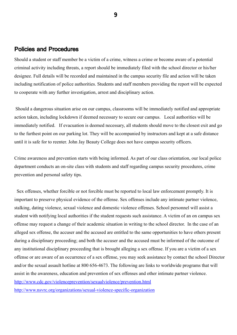#### Policies and Procedures

Should a student or staff member be a victim of a crime, witness a crime or become aware of a potential criminal activity including threats, a report should be immediately filed with the school director or his/her designee. Full details will be recorded and maintained in the campus security file and action will be taken including notification of police authorities. Students and staff members providing the report will be expected to cooperate with any further investigation, arrest and disciplinary action.

Should a dangerous situation arise on our campus, classrooms will be immediately notified and appropriate action taken, including lockdown if deemed necessary to secure our campus. Local authorities will be immediately notified. If evacuation is deemed necessary, all students should move to the closest exit and go to the furthest point on our parking lot. They will be accompanied by instructors and kept at a safe distance until it is safe for to reenter. John Jay Beauty College does not have campus security officers.

Crime awareness and prevention starts with being informed. As part of our class orientation, our local police department conducts an on-site class with students and staff regarding campus security procedures, crime prevention and personal safety tips.

Sex offenses, whether forcible or not forcible must be reported to local law enforcement promptly. It is important to preserve physical evidence of the offense. Sex offenses include any intimate partner violence, stalking, dating violence, sexual violence and domestic violence offenses. School personnel will assist a student with notifying local authorities if the student requests such assistance. A victim of an on campus sex offense may request a change of their academic situation in writing to the school director. In the case of an alleged sex offense, the accuser and the accused are entitled to the same opportunities to have others present during a disciplinary proceeding; and both the accuser and the accused must be informed of the outcome of any institutional disciplinary proceeding that is brought alleging a sex offense. If you are a victim of a sex offense or are aware of an occurrence of a sex offense, you may seek assistance by contact the school Director and/or the sexual assault hotline at 800 656-4673. The following are links to worldwide programs that will assist in the awareness, education and prevention of sex offenses and other intimate partner violence. <http://www.cdc.gov/violenceprevention/sexualviolence/prevention.html> <http://www.nsvrc.org/organizations/sexual-violence-specific-organization>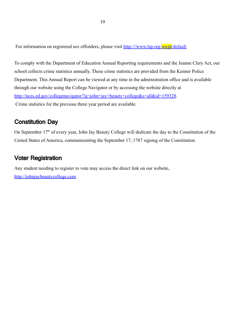For information on registered sex offenders, please visit http:///www.lsp.org/socpt/default

To comply with the Department of Education Annual Reporting requirements and the Jeanne Clery Act, our school collects crime statistics annually. These crime statistics are provided from the Kenner Police Department. This Annual Report can be viewed at any time in the administration office and is available through our website using the College Navigator or by accessing the website directly at <http://nces.ed.gov/collegenavigator/?q=john+jay+beauty+college&s=all&id=159328>. Crime statistics for the previous three year period are available.

### Constitution Day

On September 17<sup>th</sup> of every year, John Jay Beauty College will dedicate the day to the Constitution of the United States of America, commemorating the September 17, 1787 signing of the Constitution.

## Voter Registration

Any student needing to register to vote may access the direct link on our website, <http://johnjaybeautycollege.com>.